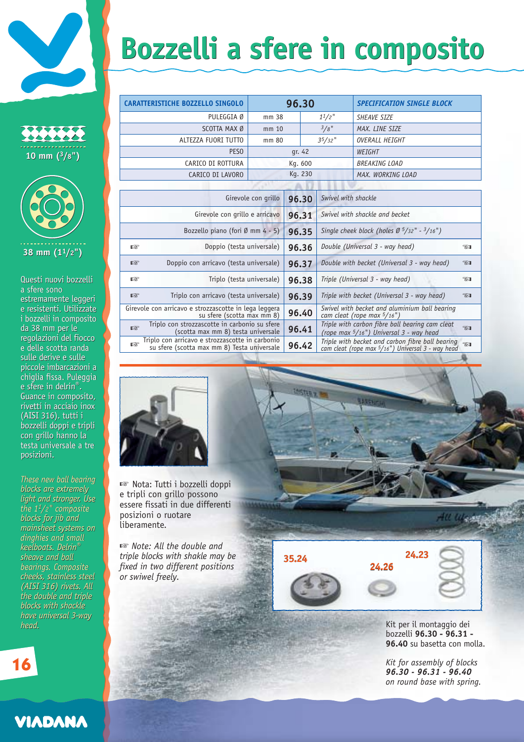## **Bozzelli a sfere in composito Bozzelli a sfere in composito**

| .<br>$10$ mm $(^3/8"$ |
|-----------------------|



Questi nuovi bozzelli a sfere sono estremamente leggeri e resistenti. Utilizzate i bozzelli in composito i bozzelli in composito da 38 mm per le da 38 mm per le<br>regolazioni del fiocco e delle scotta randa e delle scotta randa<br>sulle derive e sulle piccole imbarcazioni a piccole imbarcazioni a chiglia fissa. Puleggia chiglia fissa. Puleggia e sfere in delrin®. e sfere in Guance in composito, Guance in composito, rivetti in acciaio inox rivetti in acciaio inox (AISI 316). tutti i bozzelli doppi e tripli bozzelli doppi e con grillo hanno la con grillo hanno la testa universale a tre<br>posizioni. posizioni. Questi nuovi bozzelli<br>a sfere sono<br>estremamente leggeri<br>e resistenti. Utilizzate

*These new ball bearing These new ball bearing blocks are extremely blocks are extremely light and stronger. Use light and stronger. Use the 11/2" composite blocks for jib and mainsheet systems on mainsheet ondinghies and small dinghies and small keelboats. Delrin® keelboats. Delrin®sheave and ball sheave and ball bearings. Composite bearings. Composite cheeks, stainless steel cheeks, stainless steel (AISI 316) rivets. All the double and triple blocks with shackle have universal 3-way head. head. the blocks for jib and (AISI 316) rivets. Allthe double and tripleblocks with shacklehave universal 3-way*

☞ ☞ ☞ ☞ ☞ ☞ **96.30 96.31 96.35 96.36 96.37 96.38 96.39 96.40 96.41 96.42** Girevole con grillo Girevole con grillo e arricavo Bozzello piano (fori Ø mm 4 - 5) Doppio (testa universale) Doppio con arricavo (testa universale) Triplo (testa universale) Triplo con arricavo (testa universale) Girevole con arricavo e strozzascotte in lega leggera su sfere (scotta max mm 8) Triplo con strozzascotte in carbonio su sfere (scotta max mm 8) testa universale Triplo con arricavo e strozzascotte in carbonio su sfere (scotta max mm 8) Testa universale *Swivel with shackle Swivel with shackle and becket Single cheek block (holes Ø 5/32" - 3/16") Double (Universal 3 - way head) Double with becket (Universal 3 - way head) Triple (Universal 3 - way head) Triple with becket (Universal 3 - way head) Swivel with becket and aluminium ball bearing cam cleat (rope max 5/16") Triple with carbon fibre ball bearing cam cleat (rope max 5/16") Universal 3 - way head Triple with becket and carbon fibre ball bearing cam cleat (rope max 5/16") Universal 3 - way head* ☞☞☞☞☞☞**CARATTERISTICHE BOZZELLO SINGOLO 96.30** *SPECIFICATION SINGLE BLOCK* mm 38 mm 10 mm 80 *11/2" 3/8" 35/32"* gr. 42 Kg. 600 PULEGGIA Ø SCOTTA MAX Ø ALTEZZA FUORI TUTTO **PESO** CARICO DI ROTTURA CARICO DI LAVORO *SHEAVE SIZE MAX. LINE SIZE OVERALL HEIGHT WEIGHT BREAKING LOAD MAX. WORKING LOAD*

**LASTERY** 



☞ Nota: Tutti i bozzelli doppi e tripli con grillo possono essere fissati in due differenti posizioni o ruotare liberamente.

☞ *Note: All the double and triple blocks with shakle may be fixed in two different positions or swiwel freely.*



116.841

Kit per il montaggio dei bozzelli **96.30 - 96.31 - 96.40** su basetta con molla.

*Kit for assembly of blocks 96.30 - 96.31 - 96.40 on round base with spring.*